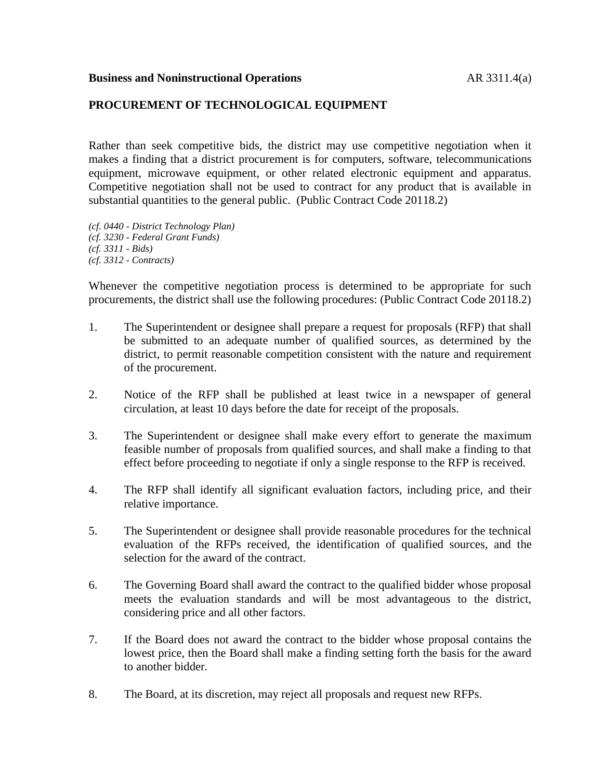## **Business and Noninstructional Operations** AR 3311.4(a)

## **PROCUREMENT OF TECHNOLOGICAL EQUIPMENT**

Rather than seek competitive bids, the district may use competitive negotiation when it makes a finding that a district procurement is for computers, software, telecommunications equipment, microwave equipment, or other related electronic equipment and apparatus. Competitive negotiation shall not be used to contract for any product that is available in substantial quantities to the general public. (Public Contract Code 20118.2)

*(cf. 0440 - District Technology Plan) (cf. 3230 - Federal Grant Funds) (cf. 3311 - Bids) (cf. 3312 - Contracts)*

Whenever the competitive negotiation process is determined to be appropriate for such procurements, the district shall use the following procedures: (Public Contract Code 20118.2)

- 1. The Superintendent or designee shall prepare a request for proposals (RFP) that shall be submitted to an adequate number of qualified sources, as determined by the district, to permit reasonable competition consistent with the nature and requirement of the procurement.
- 2. Notice of the RFP shall be published at least twice in a newspaper of general circulation, at least 10 days before the date for receipt of the proposals.
- 3. The Superintendent or designee shall make every effort to generate the maximum feasible number of proposals from qualified sources, and shall make a finding to that effect before proceeding to negotiate if only a single response to the RFP is received.
- 4. The RFP shall identify all significant evaluation factors, including price, and their relative importance.
- 5. The Superintendent or designee shall provide reasonable procedures for the technical evaluation of the RFPs received, the identification of qualified sources, and the selection for the award of the contract.
- 6. The Governing Board shall award the contract to the qualified bidder whose proposal meets the evaluation standards and will be most advantageous to the district, considering price and all other factors.
- 7. If the Board does not award the contract to the bidder whose proposal contains the lowest price, then the Board shall make a finding setting forth the basis for the award to another bidder.
- 8. The Board, at its discretion, may reject all proposals and request new RFPs.